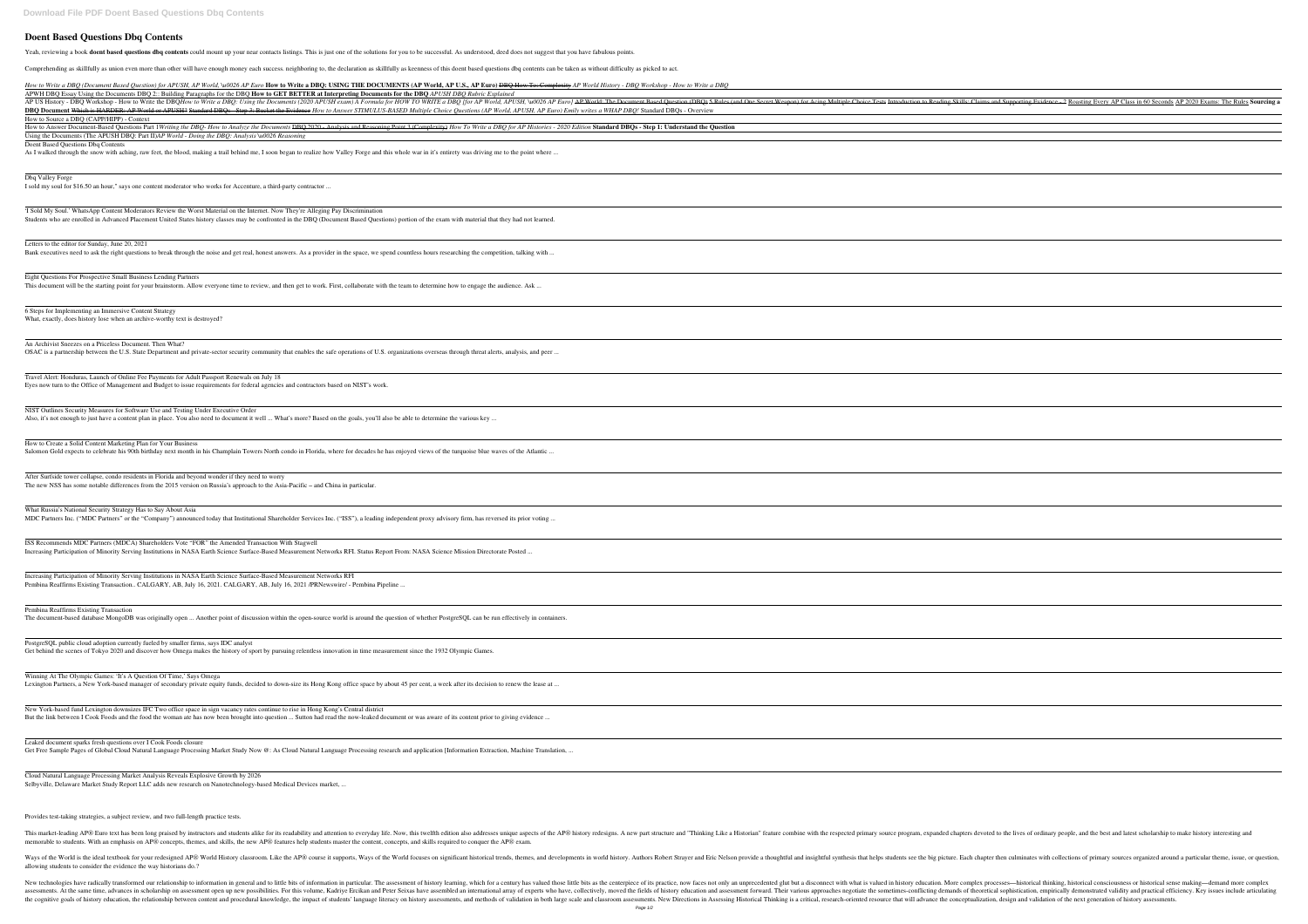## **Doent Based Questions Dbq Contents**

Yeah, reviewing a book **doent based questions dbg contents** could mount up your near contacts listings. This is just one of the solutions for you to be successful. As understood, deed does not suggest that you have fabulou

Comprehending as skillfully as union even more than other will have enough money each success. neighboring to, the declaration as skillfully as keenness of this doent based questions dbq contents can be taken as without di

How to Write a DBO (Document Based Question) for APUSH, AP World, \u0026 AP Euro How to Write a DBO: USING THE DOCUMENTS (AP World, AP U.S., AP Euro) DBO How To: Complexity AP World History - DBO Workshop - How to Write a APWH DBQ Essay Using the Documents DBQ 2:: Building Paragraphs for the DBQ **How to GET BETTER at Interpreting Documents for the DBQ** *APUSH DBQ Rubric Explained* AP US History - DBQ Workshop - How to Write the DBQHow to Write a DBQ: Using the Documents (2020 APUSH exam) A Formula for HOW TO WRITE a DBQ [for AP Worl **DBO Document Which is HARDER: AP World or APUSH? Standard DBOs - Step 3: Bucket the Evidence How to Answer STIMULUS-BASED Multiple Choice Ouestions (AP** How to Source a DBQ (CAPP/HIPP) - Context

How to Answer Document-Based Questions Part 1 Writing the DBQ- How to Analyze the Documents <del>DBQ 2020 - Analysis and Reasoning Point 3 (Complexity)</del> How To Write a D Using the Documents (The APUSH DBQ: Part II)*AP World - Doing the DBQ: Analysis \u0026 Reasoning*

'I Sold My Soul.' WhatsApp Content Moderators Review the Worst Material on the Internet. Now They're Alleging Pay Discrimination Students who are enrolled in Advanced Placement United States history classes may be confronted in the DBQ (Document Based Questions) portion of the exam with material that

Eight Questions For Prospective Small Business Lending Partners This document will be the starting point for your brainstorm. Allow everyone time to review, and then get to work. First, collaborate with the team to determine how to engage the

An Archivist Sneezes on a Priceless Document. Then What? OSAC is a partnership between the U.S. State Department and private-sector security community that enables the safe operations of U.S. organizations overseas through threat aler

NIST Outlines Security Measures for Software Use and Testing Under Executive Order Also, it's not enough to just have a content plan in place. You also need to document it well ... What's more? Based on the goals, you'll also be able to determine the various key.

Doent Based Questions Dbq Contents

As I walked through the snow with aching, raw feet, the blood, making a trail behind me, I soon began to realize how Valley Forge and this whole war in it's entirety was driving

## Dbq Valley Forge

What Russia's National Security Strategy Has to Say About Asia MDC Partners Inc. ("MDC Partners" or the "Company") announced today that Institutional Shareholder Services Inc. ("ISS"), a leading independent proxy advisory firm, has rev

I sold my soul for \$16.50 an hour," says one content moderator who works for Accenture, a third-party contractor ...

ISS Recommends MDC Partners (MDCA) Shareholders Vote "FOR" the Amended Transaction With Stagwell Increasing Participation of Minority Serving Institutions in NASA Earth Science Surface-Based Measurement Networks RFI. Status Report From: NASA Science Mission Directoration Directors

Letters to the editor for Sunday, June 20, 2021

Bank executives need to ask the right questions to break through the noise and get real, honest answers. As a provider in the space, we spend countless hours researching the competition, the space with the space with the s

Winning At The Olympic Games: 'It's A Question Of Time,' Says Omega Lexington Partners, a New York-based manager of secondary private equity funds, decided to down-size its Hong Kong office space by about 45 per cent, a week after its decision

New York-based fund Lexington downsizes IFC Two office space in sign vacancy rates continue to rise in Hong Kong's Central district But the link between I Cook Foods and the food the woman ate has now been brought into question ... Sutton had read the now-leaked document or was aware of its content prior

Leaked document sparks fresh questions over I Cook Foods closure Get Free Sample Pages of Global Cloud Natural Language Processing Market Study Now @: As Cloud Natural Language Processing research and application [Information Extrac

6 Steps for Implementing an Immersive Content Strategy What, exactly, does history lose when an archive-worthy text is destroyed?

Travel Alert: Honduras, Launch of Online Fee Payments for Adult Passport Renewals on July 18 Eyes now turn to the Office of Management and Budget to issue requirements for federal agencies and contractors based on NIST's work.

Ways of the World is the ideal textbook for your redesigned AP® World History classroom. Like the AP® course it supports, Ways of the World focuses on significant historical trends, themes, and developments in world histor allowing students to consider the evidence the way historians do.?

New technologies have radically transformed our relationship to information in general and to little bits of information in general and to little bits of information in particular. The assessment of history education. More assessments. At the same time, advances in scholarship on assessment open up new possibilities. For this volume, Kadrive Ercikan and Peter Seixas have assembled an international array of experts who have, collectively, mov In Assessments, and methods of validation in both large scale and classroom assessments, and methods of validation in both large scale and classroom assessments. New Directions in Assessing Historical Thinking is a critica

| plained                                                                                                                                                                                                                                                  |
|----------------------------------------------------------------------------------------------------------------------------------------------------------------------------------------------------------------------------------------------------------|
| Id, APUSH, Vu0026 AP Euro] AP World: The Document Based Question (DBQ) 5 Rules (and One Secret Weapon) for Acing Multiple Choice Tests Introduction to Reading Skills: Claim<br>World, APUSH, AP Euro) Emily writes a WHAP DBQ! Standard DBQs - Overview |
| DBQ for AP Histories - 2020 Edition Standard DBQs - Step 1: Understand the Question                                                                                                                                                                      |
| me to the point where                                                                                                                                                                                                                                    |
|                                                                                                                                                                                                                                                          |
|                                                                                                                                                                                                                                                          |
| at they had not learned.                                                                                                                                                                                                                                 |
| betition, talking with                                                                                                                                                                                                                                   |
| audience. Ask                                                                                                                                                                                                                                            |
|                                                                                                                                                                                                                                                          |
| erts, analysis, and peer                                                                                                                                                                                                                                 |
|                                                                                                                                                                                                                                                          |
|                                                                                                                                                                                                                                                          |
| vaves of the Atlantic                                                                                                                                                                                                                                    |
|                                                                                                                                                                                                                                                          |
| ersed its prior voting                                                                                                                                                                                                                                   |
| orate Posted                                                                                                                                                                                                                                             |
|                                                                                                                                                                                                                                                          |
| un effectively in containers.                                                                                                                                                                                                                            |
|                                                                                                                                                                                                                                                          |
| n to renew the lease at                                                                                                                                                                                                                                  |
| to giving evidence                                                                                                                                                                                                                                       |
| ction, Machine Translation,                                                                                                                                                                                                                              |

How to Create a Solid Content Marketing Plan for Your Business

Salomon Gold expects to celebrate his 90th birthday next month in his Champlain Towers North condo in Florida, where for decades he has enjoyed views of the turquoise blue wa

After Surfside tower collapse, condo residents in Florida and beyond wonder if they need to worry The new NSS has some notable differences from the 2015 version on Russia's approach to the Asia-Pacific – and China in particular.

Increasing Participation of Minority Serving Institutions in NASA Earth Science Surface-Based Measurement Networks RFI Pembina Reaffirms Existing Transaction.. CALGARY, AB, July 16, 2021. CALGARY, AB, July 16, 2021 /PRNewswire/ - Pembina Pipeline ...

Pembina Reaffirms Existing Transaction

The document-based database MongoDB was originally open ... Another point of discussion within the open-source world is around the question of whether PostgreSQL can be rund the question of whether PostgreSQL can be runder

PostgreSQL public cloud adoption currently fueled by smaller firms, says IDC analyst Get behind the scenes of Tokyo 2020 and discover how Omega makes the history of sport by pursuing relentless innovation in time measurement since the 1932 Olympic Games.

Cloud Natural Language Processing Market Analysis Reveals Explosive Growth by 2026 Selbyville, Delaware Market Study Report LLC adds new research on Nanotechnology-based Medical Devices market, ...

Provides test-taking strategies, a subject review, and two full-length practice tests.

This market-leading AP® Euro text has been long praised by instructors and students alike for its readability and attention to everyday life. Now, this twelfth edition also addresses unique aspects of the AP® history redes memorable to students. With an emphasis on AP® concepts, themes, and skills, the new AP® features help students master the content, concepts, and skills required to conquer the AP® exam.

| In the Supporting Evidence - 2 Roasting Every AP Class in 60 Seconds AP 2020 Exams: The Rules Sourcing a             |
|----------------------------------------------------------------------------------------------------------------------|
|                                                                                                                      |
|                                                                                                                      |
|                                                                                                                      |
|                                                                                                                      |
|                                                                                                                      |
|                                                                                                                      |
|                                                                                                                      |
|                                                                                                                      |
|                                                                                                                      |
|                                                                                                                      |
|                                                                                                                      |
|                                                                                                                      |
|                                                                                                                      |
|                                                                                                                      |
|                                                                                                                      |
|                                                                                                                      |
|                                                                                                                      |
|                                                                                                                      |
|                                                                                                                      |
|                                                                                                                      |
|                                                                                                                      |
|                                                                                                                      |
|                                                                                                                      |
|                                                                                                                      |
|                                                                                                                      |
|                                                                                                                      |
|                                                                                                                      |
|                                                                                                                      |
|                                                                                                                      |
|                                                                                                                      |
|                                                                                                                      |
|                                                                                                                      |
|                                                                                                                      |
|                                                                                                                      |
|                                                                                                                      |
|                                                                                                                      |
|                                                                                                                      |
|                                                                                                                      |
|                                                                                                                      |
|                                                                                                                      |
|                                                                                                                      |
|                                                                                                                      |
|                                                                                                                      |
|                                                                                                                      |
|                                                                                                                      |
|                                                                                                                      |
|                                                                                                                      |
|                                                                                                                      |
|                                                                                                                      |
|                                                                                                                      |
|                                                                                                                      |
|                                                                                                                      |
|                                                                                                                      |
|                                                                                                                      |
|                                                                                                                      |
| <u> 1989 - Johann Stein, marwolaethau a bhann an t-Amhain an t-Amhain an t-Amhain an t-Amhain an t-Amhain an t-A</u> |
|                                                                                                                      |
|                                                                                                                      |
|                                                                                                                      |
|                                                                                                                      |
|                                                                                                                      |
|                                                                                                                      |
|                                                                                                                      |
|                                                                                                                      |
|                                                                                                                      |
|                                                                                                                      |
|                                                                                                                      |
|                                                                                                                      |
|                                                                                                                      |
|                                                                                                                      |
|                                                                                                                      |